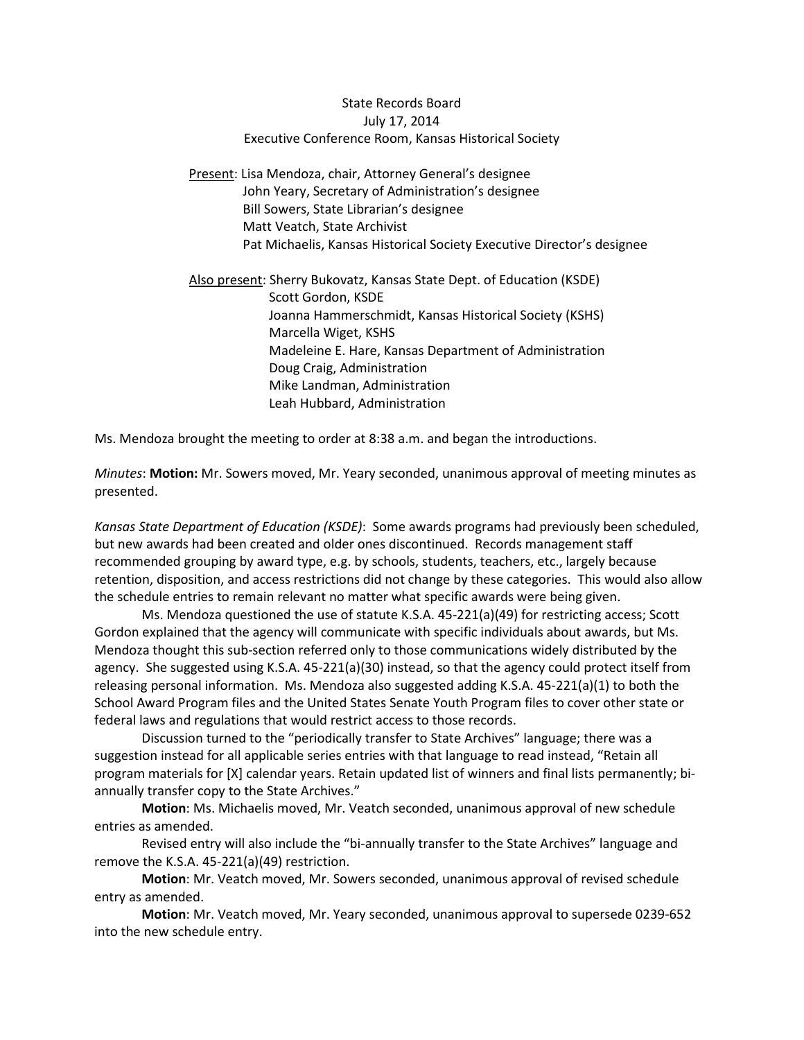## State Records Board July 17, 2014 Executive Conference Room, Kansas Historical Society

Present: Lisa Mendoza, chair, Attorney General's designee John Yeary, Secretary of Administration's designee Bill Sowers, State Librarian's designee Matt Veatch, State Archivist Pat Michaelis, Kansas Historical Society Executive Director's designee

Also present: Sherry Bukovatz, Kansas State Dept. of Education (KSDE) Scott Gordon, KSDE Joanna Hammerschmidt, Kansas Historical Society (KSHS) Marcella Wiget, KSHS Madeleine E. Hare, Kansas Department of Administration Doug Craig, Administration Mike Landman, Administration Leah Hubbard, Administration

Ms. Mendoza brought the meeting to order at 8:38 a.m. and began the introductions.

*Minutes*: **Motion:** Mr. Sowers moved, Mr. Yeary seconded, unanimous approval of meeting minutes as presented.

*Kansas State Department of Education (KSDE)*: Some awards programs had previously been scheduled, but new awards had been created and older ones discontinued. Records management staff recommended grouping by award type, e.g. by schools, students, teachers, etc., largely because retention, disposition, and access restrictions did not change by these categories. This would also allow the schedule entries to remain relevant no matter what specific awards were being given.

Ms. Mendoza questioned the use of statute K.S.A. 45-221(a)(49) for restricting access; Scott Gordon explained that the agency will communicate with specific individuals about awards, but Ms. Mendoza thought this sub-section referred only to those communications widely distributed by the agency. She suggested using K.S.A. 45-221(a)(30) instead, so that the agency could protect itself from releasing personal information. Ms. Mendoza also suggested adding K.S.A. 45-221(a)(1) to both the School Award Program files and the United States Senate Youth Program files to cover other state or federal laws and regulations that would restrict access to those records.

Discussion turned to the "periodically transfer to State Archives" language; there was a suggestion instead for all applicable series entries with that language to read instead, "Retain all program materials for [X] calendar years. Retain updated list of winners and final lists permanently; biannually transfer copy to the State Archives."

**Motion**: Ms. Michaelis moved, Mr. Veatch seconded, unanimous approval of new schedule entries as amended.

Revised entry will also include the "bi-annually transfer to the State Archives" language and remove the K.S.A. 45-221(a)(49) restriction.

**Motion**: Mr. Veatch moved, Mr. Sowers seconded, unanimous approval of revised schedule entry as amended.

**Motion**: Mr. Veatch moved, Mr. Yeary seconded, unanimous approval to supersede 0239-652 into the new schedule entry.